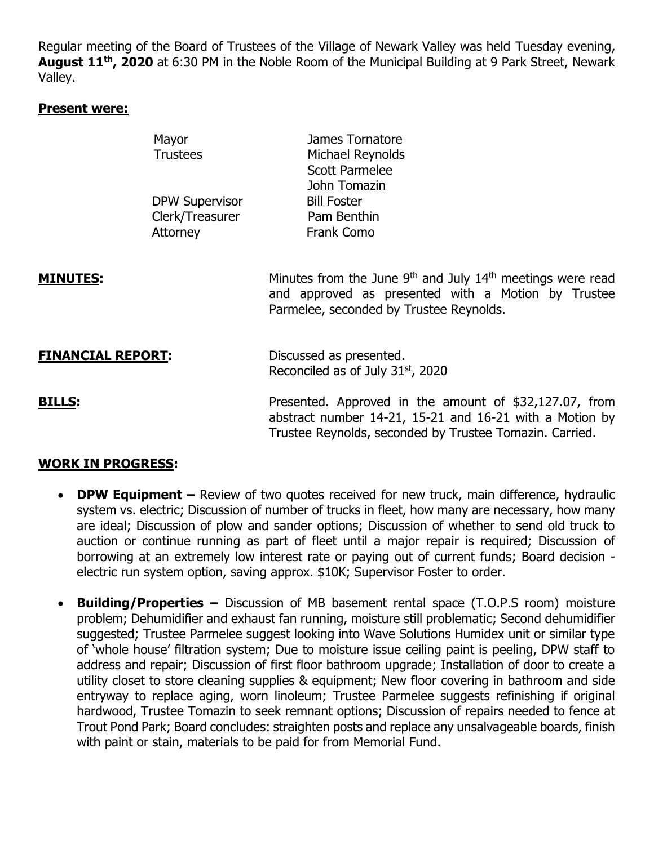Regular meeting of the Board of Trustees of the Village of Newark Valley was held Tuesday evening, **August 11th, 2020** at 6:30 PM in the Noble Room of the Municipal Building at 9 Park Street, Newark Valley.

#### **Present were:**

|                          | Mayor<br><b>Trustees</b>                             | James Tornatore<br>Michael Reynolds<br><b>Scott Parmelee</b><br>John Tomazin                                                                                                        |
|--------------------------|------------------------------------------------------|-------------------------------------------------------------------------------------------------------------------------------------------------------------------------------------|
|                          | <b>DPW Supervisor</b><br>Clerk/Treasurer<br>Attorney | <b>Bill Foster</b><br>Pam Benthin<br>Frank Como                                                                                                                                     |
| <b>MINUTES:</b>          |                                                      | Minutes from the June 9 <sup>th</sup> and July 14 <sup>th</sup> meetings were read<br>and approved as presented with a Motion by Trustee<br>Parmelee, seconded by Trustee Reynolds. |
| <b>FINANCIAL REPORT:</b> |                                                      | Discussed as presented.<br>Reconciled as of July 31 <sup>st</sup> , 2020                                                                                                            |
| <b>BILLS:</b>            |                                                      | Presented. Approved in the amount of \$32,127.07, from<br>abstract number 14-21, 15-21 and 16-21 with a Motion by<br>Trustee Reynolds, seconded by Trustee Tomazin. Carried.        |

# **WORK IN PROGRESS:**

- **DPW Equipment** Review of two quotes received for new truck, main difference, hydraulic system vs. electric; Discussion of number of trucks in fleet, how many are necessary, how many are ideal; Discussion of plow and sander options; Discussion of whether to send old truck to auction or continue running as part of fleet until a major repair is required; Discussion of borrowing at an extremely low interest rate or paying out of current funds; Board decision electric run system option, saving approx. \$10K; Supervisor Foster to order.
- **Building/Properties –** Discussion of MB basement rental space (T.O.P.S room) moisture problem; Dehumidifier and exhaust fan running, moisture still problematic; Second dehumidifier suggested; Trustee Parmelee suggest looking into Wave Solutions Humidex unit or similar type of 'whole house' filtration system; Due to moisture issue ceiling paint is peeling, DPW staff to address and repair; Discussion of first floor bathroom upgrade; Installation of door to create a utility closet to store cleaning supplies & equipment; New floor covering in bathroom and side entryway to replace aging, worn linoleum; Trustee Parmelee suggests refinishing if original hardwood, Trustee Tomazin to seek remnant options; Discussion of repairs needed to fence at Trout Pond Park; Board concludes: straighten posts and replace any unsalvageable boards, finish with paint or stain, materials to be paid for from Memorial Fund.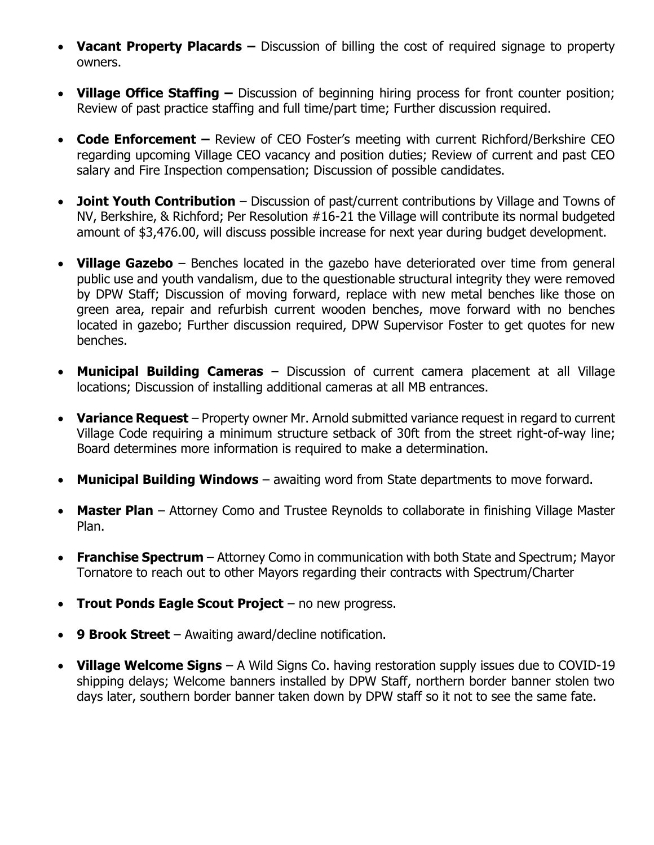- Vacant Property Placards Discussion of billing the cost of required signage to property owners.
- **Village Office Staffing –** Discussion of beginning hiring process for front counter position; Review of past practice staffing and full time/part time; Further discussion required.
- **Code Enforcement –** Review of CEO Foster's meeting with current Richford/Berkshire CEO regarding upcoming Village CEO vacancy and position duties; Review of current and past CEO salary and Fire Inspection compensation; Discussion of possible candidates.
- **Joint Youth Contribution** Discussion of past/current contributions by Village and Towns of NV, Berkshire, & Richford; Per Resolution #16-21 the Village will contribute its normal budgeted amount of \$3,476.00, will discuss possible increase for next year during budget development.
- **Village Gazebo** Benches located in the gazebo have deteriorated over time from general public use and youth vandalism, due to the questionable structural integrity they were removed by DPW Staff; Discussion of moving forward, replace with new metal benches like those on green area, repair and refurbish current wooden benches, move forward with no benches located in gazebo; Further discussion required, DPW Supervisor Foster to get quotes for new benches.
- **Municipal Building Cameras** Discussion of current camera placement at all Village locations; Discussion of installing additional cameras at all MB entrances.
- **Variance Request** Property owner Mr. Arnold submitted variance request in regard to current Village Code requiring a minimum structure setback of 30ft from the street right-of-way line; Board determines more information is required to make a determination.
- **Municipal Building Windows** awaiting word from State departments to move forward.
- **Master Plan** Attorney Como and Trustee Reynolds to collaborate in finishing Village Master Plan.
- **Franchise Spectrum** Attorney Como in communication with both State and Spectrum; Mayor Tornatore to reach out to other Mayors regarding their contracts with Spectrum/Charter
- **Trout Ponds Eagle Scout Project** no new progress.
- **9 Brook Street** Awaiting award/decline notification.
- **Village Welcome Signs** A Wild Signs Co. having restoration supply issues due to COVID-19 shipping delays; Welcome banners installed by DPW Staff, northern border banner stolen two days later, southern border banner taken down by DPW staff so it not to see the same fate.